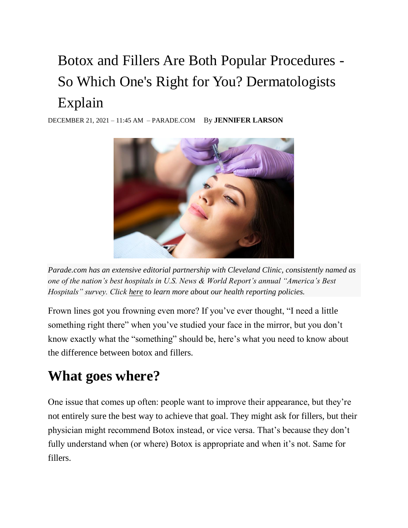# Botox and Fillers Are Both Popular Procedures - So Which One's Right for You? Dermatologists Explain

DECEMBER 21, 2021 – 11:45 AM – PARADE.COM By **[JENNIFER LARSON](https://parade.com/member/jenniferlarson/)**



*Parade.com has an extensive editorial partnership with Cleveland Clinic, consistently named as one of the nation's best hospitals in U.S. News & World Report's annual "America's Best Hospitals" survey. Click [here](https://parade.com/about-parade-health/) to learn more about our health reporting policies.*

Frown lines got you frowning even more? If you've ever thought, "I need a little something right there" when you've studied your face in the mirror, but you don't know exactly what the "something" should be, here's what you need to know about the difference between botox and fillers.

## **What goes where?**

One issue that comes up often: people want to improve their appearance, but they're not entirely sure the best way to achieve that goal. They might ask for fillers, but their physician might recommend Botox instead, or vice versa. That's because they don't fully understand when (or where) Botox is appropriate and when it's not. Same for fillers.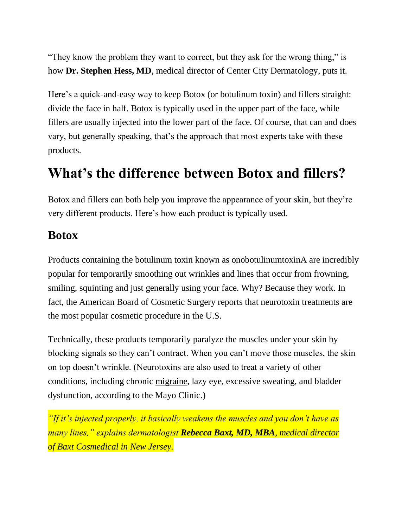"They know the problem they want to correct, but they ask for the wrong thing," is how **Dr. Stephen Hess, MD**, medical director of Center City Dermatology, puts it.

Here's a quick-and-easy way to keep Botox (or botulinum toxin) and fillers straight: divide the face in half. Botox is typically used in the upper part of the face, while fillers are usually injected into the lower part of the face. Of course, that can and does vary, but generally speaking, that's the approach that most experts take with these products.

### **What's the difference between Botox and fillers?**

Botox and fillers can both help you improve the appearance of your skin, but they're very different products. Here's how each product is typically used.

#### **Botox**

Products containing the botulinum toxin known as onobotulinumtoxinA are incredibly popular for temporarily smoothing out wrinkles and lines that occur from frowning, smiling, squinting and just generally using your face. Why? Because they work. In fact, the American Board of Cosmetic Surgery [reports that neurotoxin treatments are](https://www.americanboardcosmeticsurgery.org/procedure-learning-center/non-surgical/guide-botox-type-injectables/)  [the most popular cosmetic procedure in the U.S.](https://www.americanboardcosmeticsurgery.org/procedure-learning-center/non-surgical/guide-botox-type-injectables/)

Technically, these products temporarily paralyze the muscles under your skin by blocking signals so they can't contract. When you can't move those muscles, the skin on top doesn't wrinkle. (Neurotoxins are also used to treat [a variety of other](https://www.mayoclinic.org/tests-procedures/botox/about/pac-20384658)  [conditions,](https://www.mayoclinic.org/tests-procedures/botox/about/pac-20384658) including chronic [migraine,](https://parade.com/1134949/hollypevzner/get-rid-migraine-fast/) lazy eye, excessive sweating, and bladder dysfunction, according to the Mayo Clinic.)

*"If it's injected properly, it basically weakens the muscles and you don't have as many lines," explains dermatologist Rebecca Baxt, MD, MBA, medical director of [Baxt Cosmedical](https://www.cosmedical.com/) in New Jersey.*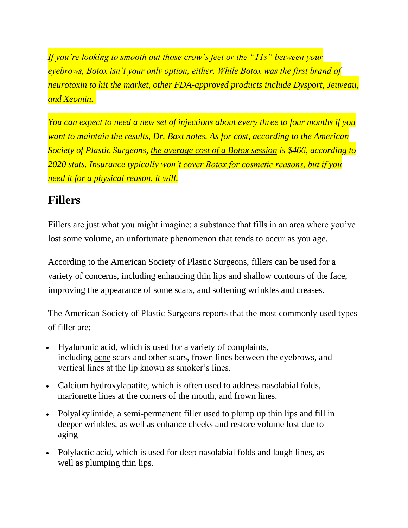*If you're looking to smooth out those crow's feet or the "11s" between your eyebrows, Botox isn't your only option, either. While Botox was the first brand of neurotoxin to hit the market, [other FDA-approved products include Dysport, Jeuveau,](https://www.americanboardcosmeticsurgery.org/procedure-learning-center/non-surgical/guide-botox-type-injectables/)  [and Xeomin.](https://www.americanboardcosmeticsurgery.org/procedure-learning-center/non-surgical/guide-botox-type-injectables/)*

*You can expect to need a new set of injections about every three to four months if you want to maintain the results, Dr. Baxt notes. As for cost, according to the American Society of Plastic Surgeons, [the average cost of a Botox session](https://www.plasticsurgery.org/cosmetic-procedures/botulinum-toxin/cost) is \$466, according to 2020 stats. Insurance typically won't cover Botox for cosmetic reasons, but if you need it for a physical reason, it will.*

### **Fillers**

Fillers are just what you might imagine: a substance that fills in an area where you've lost some volume, an unfortunate phenomenon that tends to occur as you age.

According to the American Society of Plastic Surgeons, [fillers can be used for a](https://www.plasticsurgery.org/cosmetic-procedures/dermal-fillers)  [variety of concerns,](https://www.plasticsurgery.org/cosmetic-procedures/dermal-fillers) including enhancing thin lips and shallow contours of the face, improving the appearance of some scars, and softening wrinkles and creases.

The American Society of Plastic Surgeons reports that the [most commonly used](https://www.plasticsurgery.org/cosmetic-procedures/dermal-fillers/types) types [of filler](https://www.plasticsurgery.org/cosmetic-procedures/dermal-fillers/types) are:

- Hyaluronic acid, which is used for a variety of complaints, including [acne](https://parade.com/1027677/marijkevroomendurning/how-to-get-rid-of-acne-pimples/) scars and other scars, frown lines between the eyebrows, and vertical lines at the lip known as smoker's lines.
- Calcium hydroxylapatite, which is often used to address nasolabial folds, marionette lines at the corners of the mouth, and frown lines.
- Polyalkylimide, a semi-permanent filler used to plump up thin lips and fill in deeper wrinkles, as well as enhance cheeks and restore volume lost due to aging
- Polylactic acid, which is used for deep nasolabial folds and laugh lines, as well as plumping thin lips.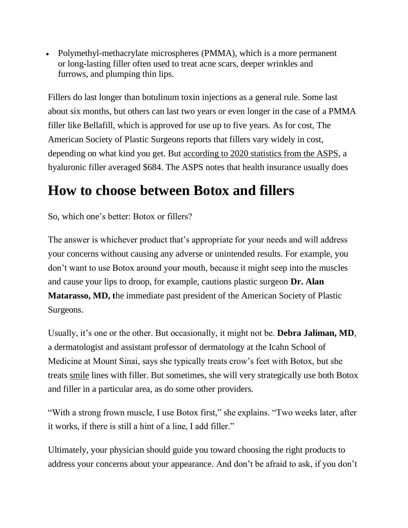• Polymethyl-methacrylate microspheres (PMMA), which is a more permanent or long-lasting filler often used to treat acne scars, deeper wrinkles and furrows, and plumping thin lips.

Fillers do last longer than botulinum toxin injections as a general rule. Some last about six months, but others can last two years or even longer in the case of a PMMA filler like Bellafill, which is approved for use up to five years. As for cost, The American Society of Plastic Surgeons reports that fillers vary widely in cost, depending on what kind you get. But [according to 2020 statistics from the ASPS,](https://www.plasticsurgery.org/cosmetic-procedures/dermal-fillers/cost) a hyaluronic filler averaged \$684. The ASPS notes that health insurance usually does

### **How to choose between Botox and fillers**

#### So, which one's better: Botox or fillers?

The answer is whichever product that's appropriate for your needs and will address your concerns without causing any adverse or unintended results. For example, you don't want to use Botox around your mouth, because it might seep into the muscles and cause your lips to droop, for example, cautions plastic surgeon **Dr. Alan Matarasso, MD, t**he immediate past president of the American Society of Plastic Surgeons.

Usually, it's one or the other. But occasionally, it might not be. **Debra Jaliman, MD**, a dermatologist and assistant professor of dermatology at the Icahn School of Medicine at Mount Sinai, says she typically treats crow's feet with Botox, but she treats [smile](https://parade.com/1045449/marynliles/smile-quotes/) lines with filler. But sometimes, she will very strategically use both Botox and filler in a particular area, as do some other providers.

"With a strong frown muscle, I use Botox first," she explains. "Two weeks later, after it works, if there is still a hint of a line, I add filler."

Ultimately, your physician should guide you toward choosing the right products to address your concerns about your appearance. And don't be afraid to ask, if you don't